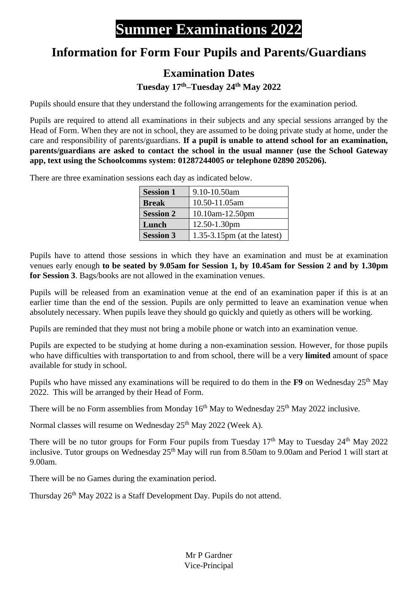## **Summer Examinations 2022**

## **Information for Form Four Pupils and Parents/Guardians**

## **Examination Dates**

**Tuesday 17 th–Tuesday 24th May 2022**

Pupils should ensure that they understand the following arrangements for the examination period.

Pupils are required to attend all examinations in their subjects and any special sessions arranged by the Head of Form. When they are not in school, they are assumed to be doing private study at home, under the care and responsibility of parents/guardians. **If a pupil is unable to attend school for an examination, parents/guardians are asked to contact the school in the usual manner (use the School Gateway app, text using the Schoolcomms system: 01287244005 or telephone 02890 205206).**

There are three examination sessions each day as indicated below.

| <b>Session 1</b> | 9.10-10.50am                   |
|------------------|--------------------------------|
| <b>Break</b>     | 10.50-11.05am                  |
| <b>Session 2</b> | $10.10$ am- $12.50$ pm         |
| Lunch            | 12.50-1.30pm                   |
| <b>Session 3</b> | $1.35-3.15$ pm (at the latest) |

Pupils have to attend those sessions in which they have an examination and must be at examination venues early enough **to be seated by 9.05am for Session 1, by 10.45am for Session 2 and by 1.30pm for Session 3**. Bags/books are not allowed in the examination venues.

Pupils will be released from an examination venue at the end of an examination paper if this is at an earlier time than the end of the session. Pupils are only permitted to leave an examination venue when absolutely necessary. When pupils leave they should go quickly and quietly as others will be working.

Pupils are reminded that they must not bring a mobile phone or watch into an examination venue.

Pupils are expected to be studying at home during a non-examination session. However, for those pupils who have difficulties with transportation to and from school, there will be a very **limited** amount of space available for study in school.

Pupils who have missed any examinations will be required to do them in the **F9** on Wednesday 25<sup>th</sup> May 2022. This will be arranged by their Head of Form.

There will be no Form assemblies from Monday  $16<sup>th</sup>$  May to Wednesday  $25<sup>th</sup>$  May 2022 inclusive.

Normal classes will resume on Wednesday 25<sup>th</sup> May 2022 (Week A).

There will be no tutor groups for Form Four pupils from Tuesday 17<sup>th</sup> May to Tuesday 24<sup>th</sup> May 2022 inclusive. Tutor groups on Wednesday 25<sup>th</sup> May will run from 8.50am to 9.00am and Period 1 will start at 9.00am.

There will be no Games during the examination period.

Thursday 26<sup>th</sup> May 2022 is a Staff Development Day. Pupils do not attend.

Mr P Gardner Vice-Principal